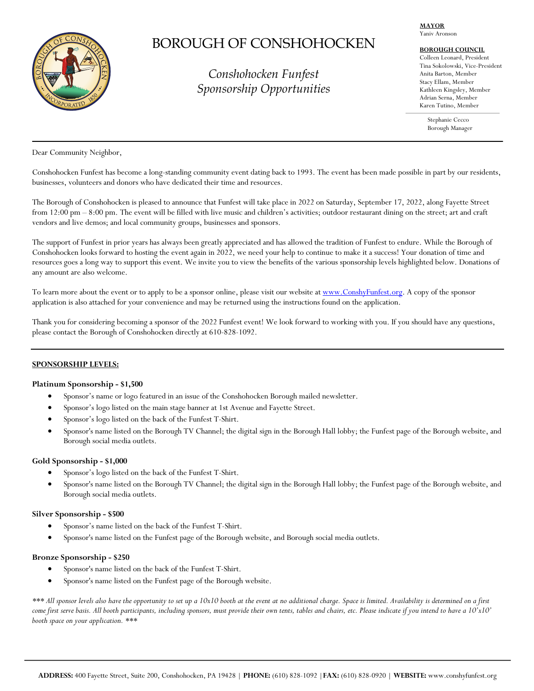

# BOROUGH OF CONSHOHOCKEN

*Conshohocken Funfest Sponsorship Opportunities* 

## **MAYOR**

# Yaniv Aronson

# **BOROUGH COUNCIL**

Colleen Leonard, President Tina Sokolowski, Vice-President Anita Barton, Member Stacy Ellam, Member Kathleen Kingsley, Member Adrian Serna, Member Karen Tutino, Member

Stephanie Cecco Borough Manager

Dear Community Neighbor,

Conshohocken Funfest has become a long-standing community event dating back to 1993. The event has been made possible in part by our residents, businesses, volunteers and donors who have dedicated their time and resources.

The Borough of Conshohocken is pleased to announce that Funfest will take place in 2022 on Saturday, September 17, 2022, along Fayette Street from 12:00 pm – 8:00 pm. The event will be filled with live music and children's activities; outdoor restaurant dining on the street; art and craft vendors and live demos; and local community groups, businesses and sponsors.

The support of Funfest in prior years has always been greatly appreciated and has allowed the tradition of Funfest to endure. While the Borough of Conshohocken looks forward to hosting the event again in 2022, we need your help to continue to make it a success! Your donation of time and resources goes a long way to support this event. We invite you to view the benefits of the various sponsorship levels highlighted below. Donations of any amount are also welcome.

To learn more about the event or to apply to be a sponsor online, please visit our website at www.ConshyFunfest.org. A copy of the sponsor application is also attached for your convenience and may be returned using the instructions found on the application.

Thank you for considering becoming a sponsor of the 2022 Funfest event! We look forward to working with you. If you should have any questions, please contact the Borough of Conshohocken directly at 610-828-1092.

# **SPONSORSHIP LEVELS:**

# **Platinum Sponsorship - \$1,500**

- Sponsor's name or logo featured in an issue of the Conshohocken Borough mailed newsletter.
- Sponsor's logo listed on the main stage banner at 1st Avenue and Fayette Street.
- Sponsor's logo listed on the back of the Funfest T-Shirt.
- Sponsor's name listed on the Borough TV Channel; the digital sign in the Borough Hall lobby; the Funfest page of the Borough website, and Borough social media outlets.

# **Gold Sponsorship - \$1,000**

- Sponsor's logo listed on the back of the Funfest T-Shirt.
- Sponsor's name listed on the Borough TV Channel; the digital sign in the Borough Hall lobby; the Funfest page of the Borough website, and Borough social media outlets.

#### **Silver Sponsorship - \$500**

- Sponsor's name listed on the back of the Funfest T-Shirt.
- Sponsor's name listed on the Funfest page of the Borough website, and Borough social media outlets.

#### **Bronze Sponsorship - \$250**

- Sponsor's name listed on the back of the Funfest T-Shirt.
- Sponsor's name listed on the Funfest page of the Borough website.

*\*\*\* All sponsor levels also have the opportunity to set up a 10x10 booth at the event at no additional charge. Space is limited. Availability is determined on a first come first serve basis. All booth participants, including sponsors, must provide their own tents, tables and chairs, etc. Please indicate if you intend to have a 10'x10' booth space on your application. \*\*\**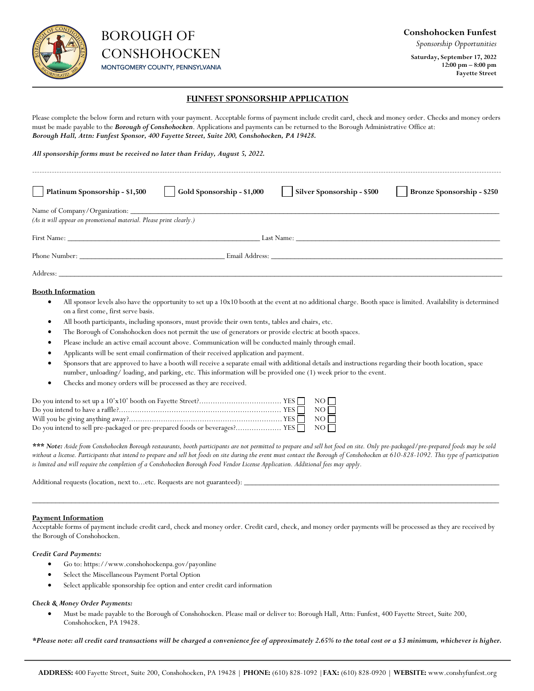

*Sponsorship Opportunities*

**Saturday, September 17, 2022 12:00 pm – 8:00 pm Fayette Street** 

# **FUNFEST SPONSORSHIP APPLICATION**

Please complete the below form and return with your payment. Acceptable forms of payment include credit card, check and money order. Checks and money orders must be made payable to the *Borough of Conshohocken*. Applications and payments can be returned to the Borough Administrative Office at: *Borough Hall, Attn: Funfest Sponsor, 400 Fayette Street, Suite 200, Conshohocken, PA 19428.*

*All sponsorship forms must be received no later than Friday, August 5, 2022.*

| Platinum Sponsorship - \$1,500                                     | $\log$ Gold Sponsorship - \$1,000 | Silver Sponsorship - \$500                                                                                                                                                                                                    | Bronze Sponsorship - \$250 |
|--------------------------------------------------------------------|-----------------------------------|-------------------------------------------------------------------------------------------------------------------------------------------------------------------------------------------------------------------------------|----------------------------|
| (As it will appear on promotional material. Please print clearly.) |                                   |                                                                                                                                                                                                                               |                            |
|                                                                    |                                   | Last Name:                                                                                                                                                                                                                    |                            |
| Phone Number:                                                      |                                   | Email Address: The Second Second Second Second Second Second Second Second Second Second Second Second Second Second Second Second Second Second Second Second Second Second Second Second Second Second Second Second Second |                            |
| Address:                                                           |                                   |                                                                                                                                                                                                                               |                            |

#### **Booth Information**

- All sponsor levels also have the opportunity to set up a 10x10 booth at the event at no additional charge. Booth space is limited. Availability is determined on a first come, first serve basis.
- All booth participants, including sponsors, must provide their own tents, tables and chairs, etc.
- The Borough of Conshohocken does not permit the use of generators or provide electric at booth spaces.
- Please include an active email account above. Communication will be conducted mainly through email.
- Applicants will be sent email confirmation of their received application and payment.
- Sponsors that are approved to have a booth will receive a separate email with additional details and instructions regarding their booth location, space number, unloading/ loading, and parking, etc. This information will be provided one (1) week prior to the event.
- Checks and money orders will be processed as they are received.

*\*\*\* Note: Aside from Conshohocken Borough restaurants, booth participants are not permitted to prepare and sell hot food on site. Only pre-packaged/pre-prepared foods may be sold*  without a license. Participants that intend to prepare and sell hot foods on site during the event must contact the Borough of Conshohocken at 610-828-1092. This type of participation *is limited and will require the completion of a Conshohocken Borough Food Vendor License Application. Additional fees may apply.*

Additional requests (location, next to...etc. Requests are not guaranteed):

#### **Payment Information**

Acceptable forms of payment include credit card, check and money order. Credit card, check, and money order payments will be processed as they are received by the Borough of Conshohocken.

 $\Box$  . The contribution of the contribution of the contribution of the contribution of the contribution of the contribution of the contribution of the contribution of the contribution of the contribution of the contributi

#### *Credit Card Payments:*

- Go to: https://www.conshohockenpa.gov/payonline
- Select the Miscellaneous Payment Portal Option
- Select applicable sponsorship fee option and enter credit card information

#### *Check & Money Order Payments:*

• Must be made payable to the Borough of Conshohocken. Please mail or deliver to: Borough Hall, Attn: Funfest, 400 Fayette Street, Suite 200, Conshohocken, PA 19428.

*\*Please note: all credit card transactions will be charged a convenience fee of approximately 2.65% to the total cost or a \$3 minimum, whichever is higher.*